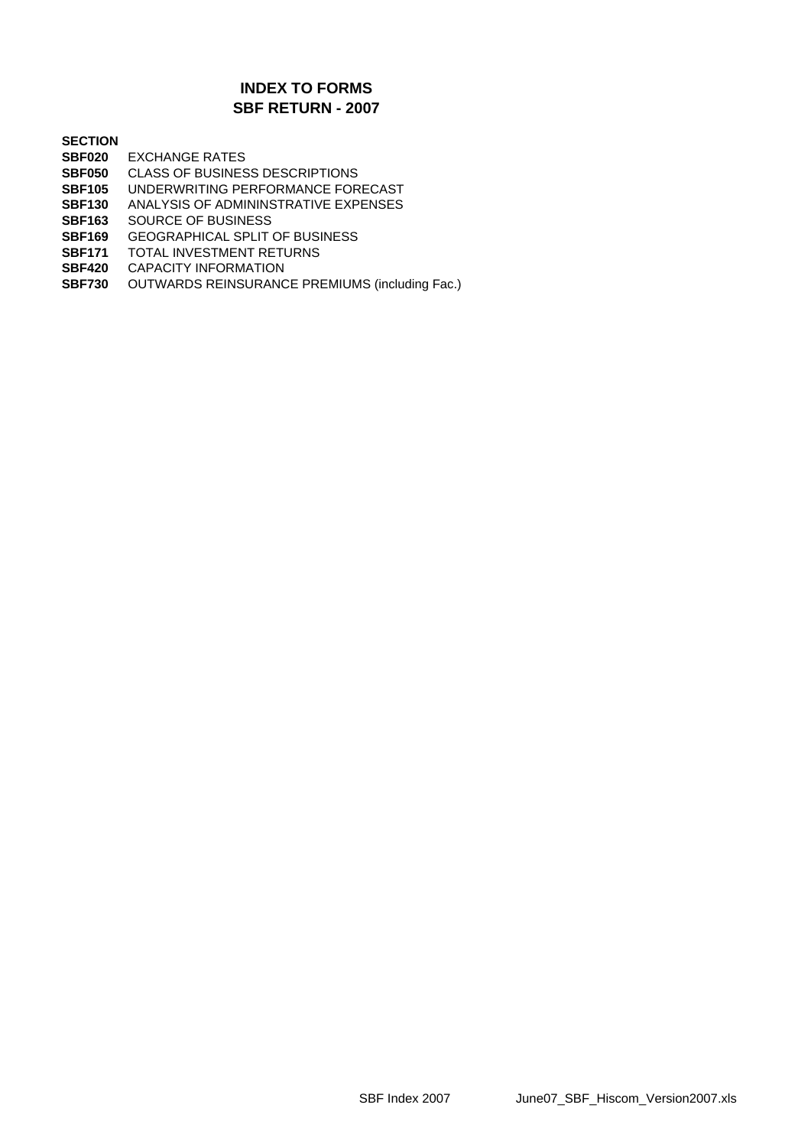### **SBF RETURN - 2007 INDEX TO FORMS**

**SECTION**

- **SBF020** EXCHANGE RATES
- **SBF050** CLASS OF BUSINESS DESCRIPTIONS
- **SBF105** UNDERWRITING PERFORMANCE FORECAST
- **SBF130** ANALYSIS OF ADMININSTRATIVE EXPENSES
- **SBF163** SOURCE OF BUSINESS
- **SBF169** GEOGRAPHICAL SPLIT OF BUSINESS
- **SBF171** TOTAL INVESTMENT RETURNS
- **SBF420** CAPACITY INFORMATION
- **SBF730** OUTWARDS REINSURANCE PREMIUMS (including Fac.)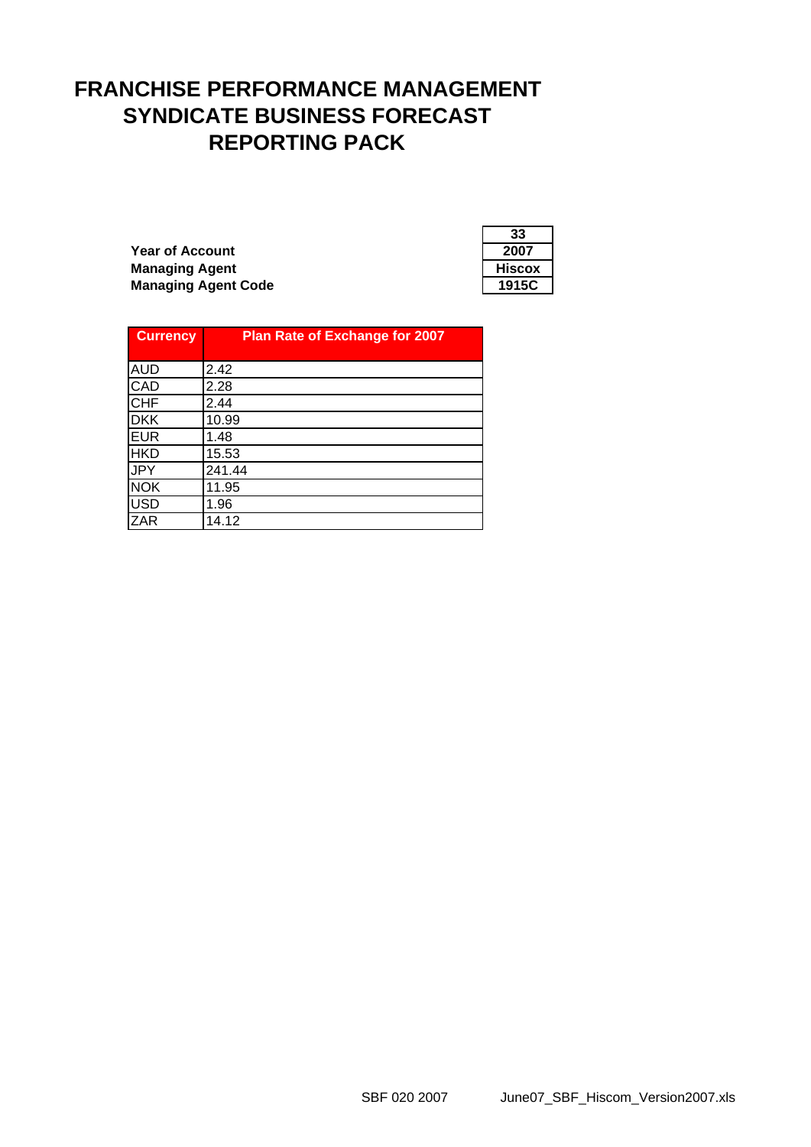# **FRANCHISE PERFORMANCE MANAGEMENT SYNDICATE BUSINESS FORECAST REPORTING PACK**

**Year of Account Managing Agent Managing Agent Code** 

| 33     |
|--------|
| 2007   |
| Hiscox |
| 1915C  |

| <b>Currency</b> | <b>Plan Rate of Exchange for 2007</b> |
|-----------------|---------------------------------------|
|                 |                                       |
| <b>AUD</b>      | 2.42                                  |
| <b>CAD</b>      | 2.28                                  |
| <b>CHF</b>      | 2.44                                  |
| <b>DKK</b>      | 10.99                                 |
| <b>EUR</b>      | 1.48                                  |
| <b>HKD</b>      | 15.53                                 |
| <b>JPY</b>      | 241.44                                |
| <b>NOK</b>      | 11.95                                 |
| <b>USD</b>      | 1.96                                  |
| <b>ZAR</b>      | 14.12                                 |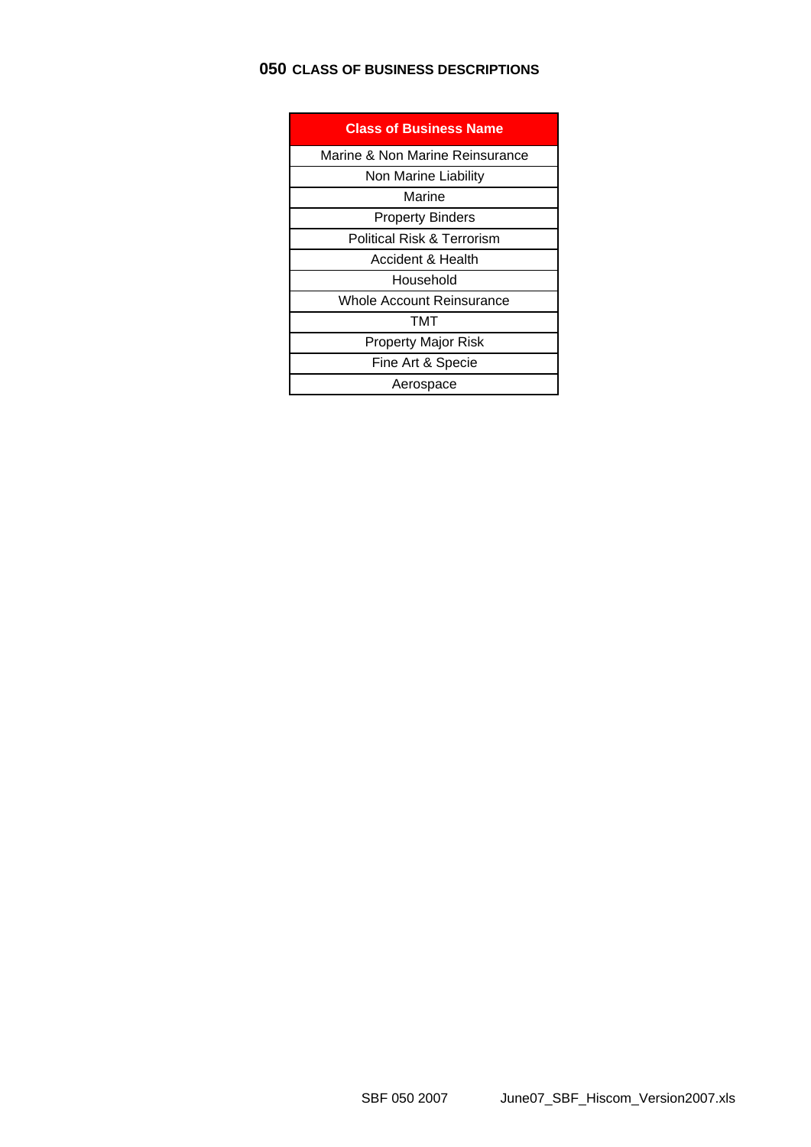## **050 CLASS OF BUSINESS DESCRIPTIONS**

| <b>Class of Business Name</b>         |
|---------------------------------------|
| Marine & Non Marine Reinsurance       |
| Non Marine Liability                  |
| Marine                                |
| <b>Property Binders</b>               |
| <b>Political Risk &amp; Terrorism</b> |
| Accident & Health                     |
| Household                             |
| Whole Account Reinsurance             |
| TMT                                   |
| Property Major Risk                   |
| Fine Art & Specie                     |
| Aerospace                             |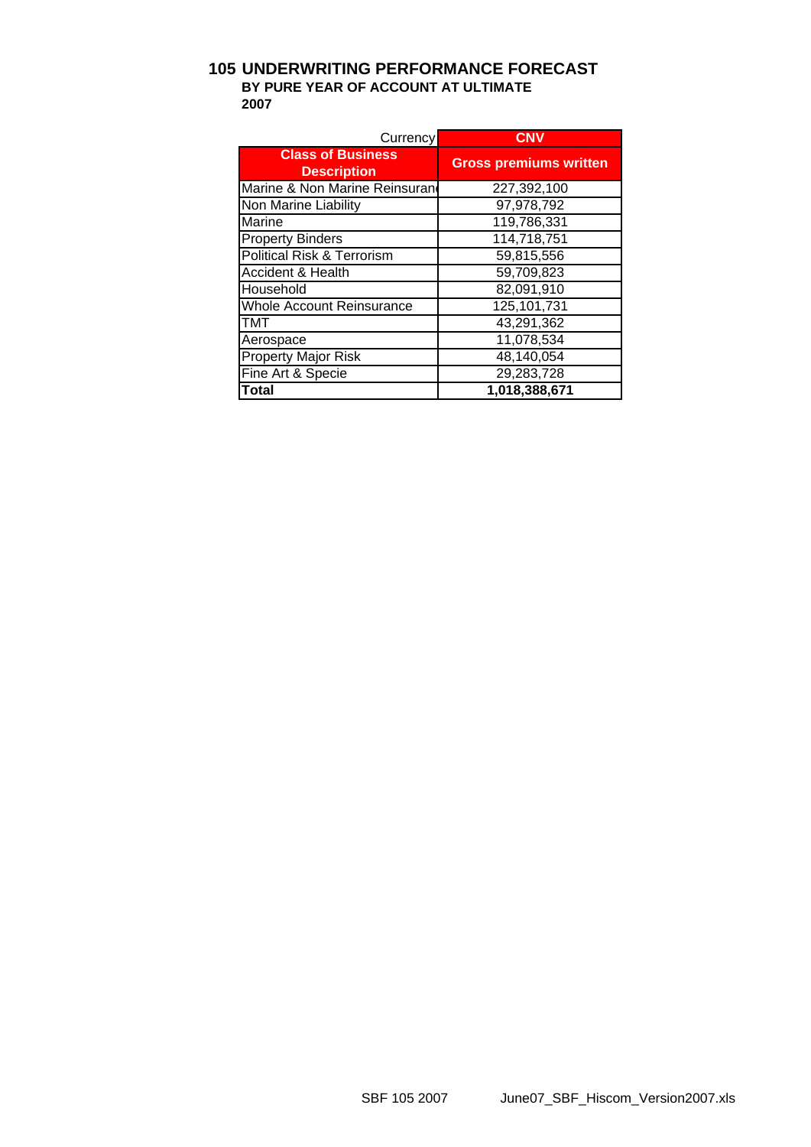### **105 UNDERWRITING PERFORMANCE FORECAST BY PURE YEAR OF ACCOUNT AT ULTIMATE 2007**

| Currency                                       | <b>CNV</b>                    |
|------------------------------------------------|-------------------------------|
| <b>Class of Business</b><br><b>Description</b> | <b>Gross premiums written</b> |
| Marine & Non Marine Reinsuran                  | 227,392,100                   |
| Non Marine Liability                           | 97,978,792                    |
| Marine                                         | 119,786,331                   |
| <b>Property Binders</b>                        | 114,718,751                   |
| <b>Political Risk &amp; Terrorism</b>          | 59,815,556                    |
| <b>Accident &amp; Health</b>                   | 59,709,823                    |
| Household                                      | 82,091,910                    |
| <b>Whole Account Reinsurance</b>               | 125,101,731                   |
| тмт                                            | 43,291,362                    |
| Aerospace                                      | 11,078,534                    |
| <b>Property Major Risk</b>                     | 48,140,054                    |
| Fine Art & Specie                              | 29,283,728                    |
| Total                                          | 1,018,388,671                 |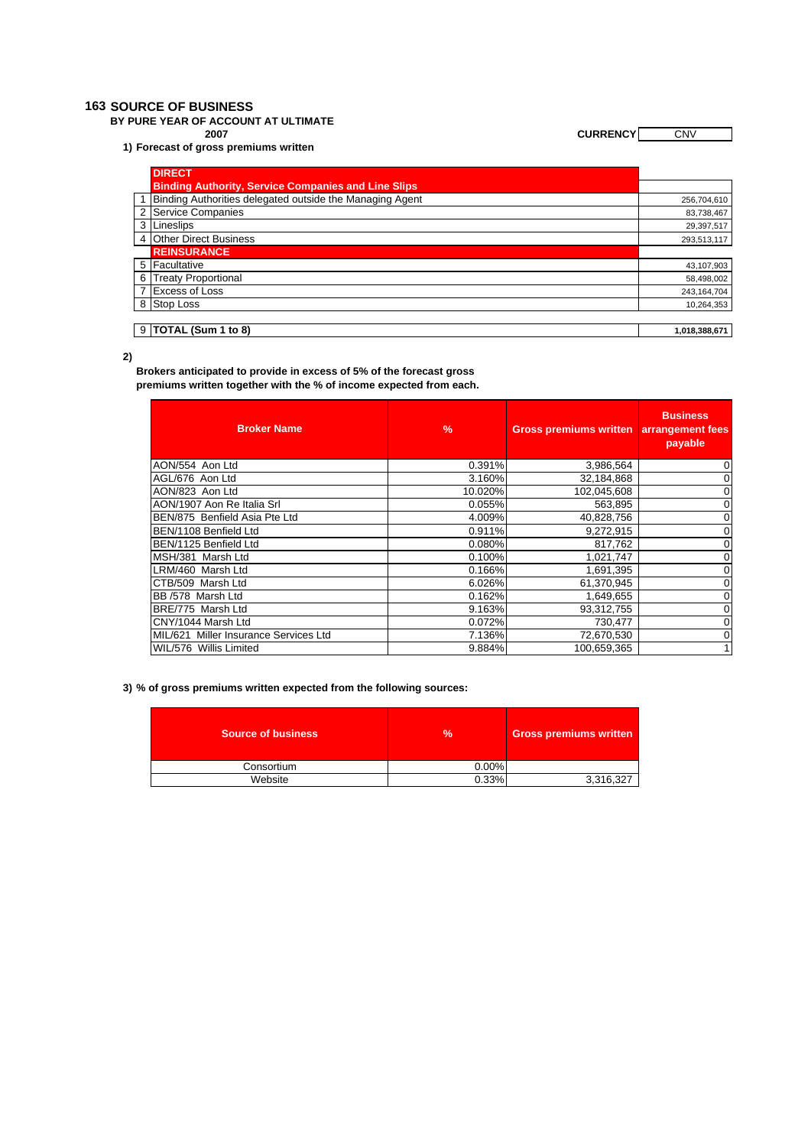#### **163 SOURCE OF BUSINESS**

**BY PURE YEAR OF ACCOUNT AT ULTIMATE**

**1) Forecast of gross premiums written** 

**2007 CURRENCY** CNV

| <b>DIRECT</b>                                              |               |
|------------------------------------------------------------|---------------|
| <b>Binding Authority, Service Companies and Line Slips</b> |               |
| Binding Authorities delegated outside the Managing Agent   | 256,704,610   |
| 2 Service Companies                                        | 83,738,467    |
| 3 Lineslips                                                | 29,397,517    |
| 4 Other Direct Business                                    | 293,513,117   |
| <b>REINSURANCE</b>                                         |               |
| 5 Facultative                                              | 43,107,903    |
| 6 Treaty Proportional                                      | 58,498,002    |
| <b>Excess of Loss</b>                                      | 243, 164, 704 |
| 8 Stop Loss                                                | 10,264,353    |
|                                                            |               |
| $9$ TOTAL (Sum 1 to 8)                                     | 1,018,388,671 |

**2)**

**Brokers anticipated to provide in excess of 5% of the forecast gross premiums written together with the % of income expected from each.** 

| <b>Broker Name</b>                    | $\frac{9}{6}$ | <b>Gross premiums written</b> | <b>Business</b><br>arrangement fees<br>payable |
|---------------------------------------|---------------|-------------------------------|------------------------------------------------|
| AON/554 Aon Ltd                       | 0.391%        | 3,986,564                     | 0                                              |
| AGL/676 Aon Ltd                       | 3.160%        | 32,184,868                    | 0                                              |
| AON/823 Aon Ltd                       | 10.020%       | 102,045,608                   | 0                                              |
| AON/1907 Aon Re Italia Srl            | 0.055%        | 563,895                       | 0                                              |
| BEN/875 Benfield Asia Pte Ltd         | 4.009%        | 40,828,756                    | 0                                              |
| BEN/1108 Benfield Ltd                 | 0.911%        | 9,272,915                     | 0                                              |
| BEN/1125 Benfield Ltd                 | 0.080%        | 817,762                       | 0                                              |
| MSH/381 Marsh Ltd                     | 0.100%        | 1,021,747                     | 0                                              |
| LRM/460 Marsh Ltd                     | 0.166%        | 1,691,395                     | 0                                              |
| ICTB/509 Marsh Ltd                    | 6.026%        | 61,370,945                    | 0                                              |
| BB /578 Marsh Ltd                     | 0.162%        | 1,649,655                     | 0                                              |
| BRE/775 Marsh Ltd                     | 9.163%        | 93,312,755                    | 0                                              |
| ICNY/1044 Marsh Ltd                   | 0.072%        | 730,477                       | 0                                              |
| MIL/621 Miller Insurance Services Ltd | 7.136%        | 72,670,530                    | 0                                              |
| WIL/576 Willis Limited                | 9.884%        | 100.659.365                   | $\mathbf{1}$                                   |

**3) % of gross premiums written expected from the following sources:**

| <b>Source of business</b> | %     | <b>Gross premiums written</b> |  |
|---------------------------|-------|-------------------------------|--|
| Consortium                | 0.00% |                               |  |
| Website                   | 0.33% | 3,316,327                     |  |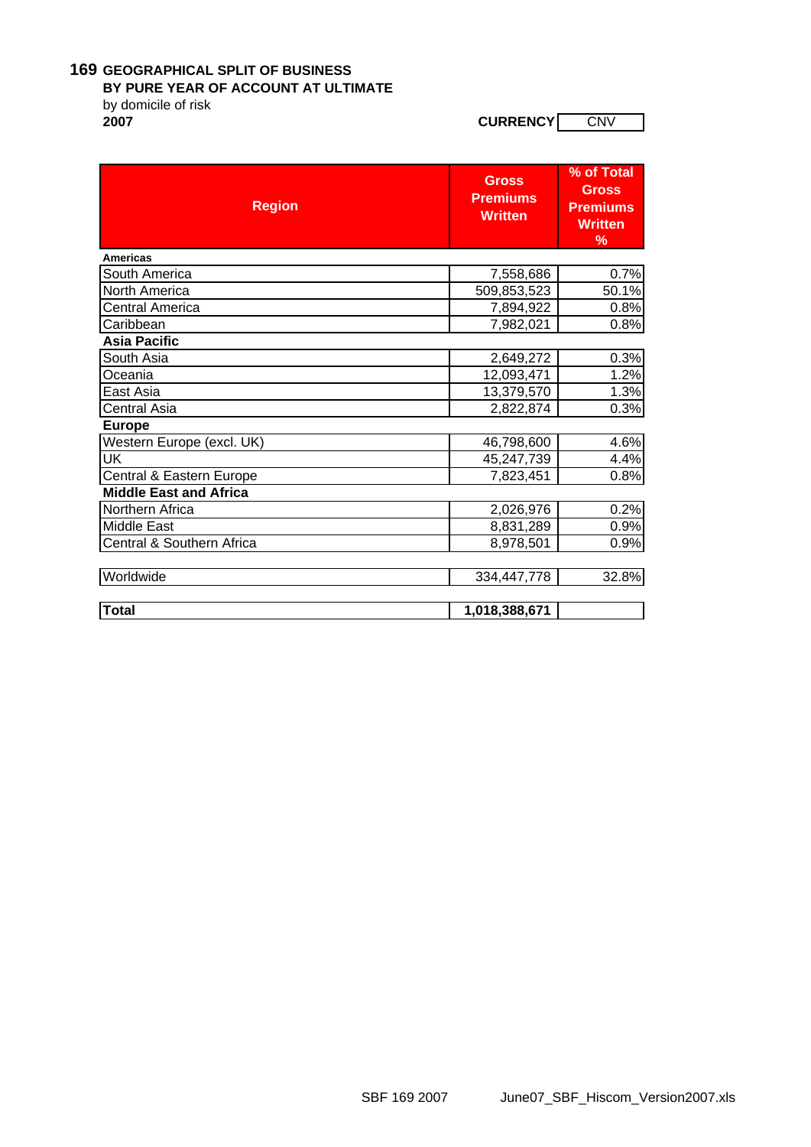### **169 GEOGRAPHICAL SPLIT OF BUSINESS**

#### **BY PURE YEAR OF ACCOUNT AT ULTIMATE**

by domicile of risk<br>2007

**2007 CURRENCY** CNV

| <b>Region</b>                 | <b>Gross</b><br><b>Premiums</b><br><b>Written</b> | % of Total<br><b>Gross</b><br><b>Premiums</b><br><b>Written</b><br>% |
|-------------------------------|---------------------------------------------------|----------------------------------------------------------------------|
| <b>Americas</b>               |                                                   |                                                                      |
| South America                 | 7,558,686                                         | 0.7%                                                                 |
| North America                 | 509,853,523                                       | 50.1%                                                                |
| Central America               | 7,894,922                                         | 0.8%                                                                 |
| Caribbean                     | 7,982,021                                         | 0.8%                                                                 |
| <b>Asia Pacific</b>           |                                                   |                                                                      |
| South Asia                    | 2,649,272                                         | 0.3%                                                                 |
| Oceania                       | 12,093,471                                        | 1.2%                                                                 |
| East Asia                     | 13,379,570                                        | 1.3%                                                                 |
| <b>Central Asia</b>           | 2,822,874                                         | 0.3%                                                                 |
| <b>Europe</b>                 |                                                   |                                                                      |
| Western Europe (excl. UK)     | 46,798,600                                        | 4.6%                                                                 |
| UK                            | 45,247,739                                        | 4.4%                                                                 |
| Central & Eastern Europe      | 7,823,451                                         | 0.8%                                                                 |
| <b>Middle East and Africa</b> |                                                   |                                                                      |
| Northern Africa               | 2,026,976                                         | 0.2%                                                                 |
| Middle East                   | 8,831,289                                         | 0.9%                                                                 |
| Central & Southern Africa     | 8,978,501                                         | 0.9%                                                                 |
| Worldwide                     | 334,447,778                                       | 32.8%                                                                |
| <b>Total</b>                  | 1,018,388,671                                     |                                                                      |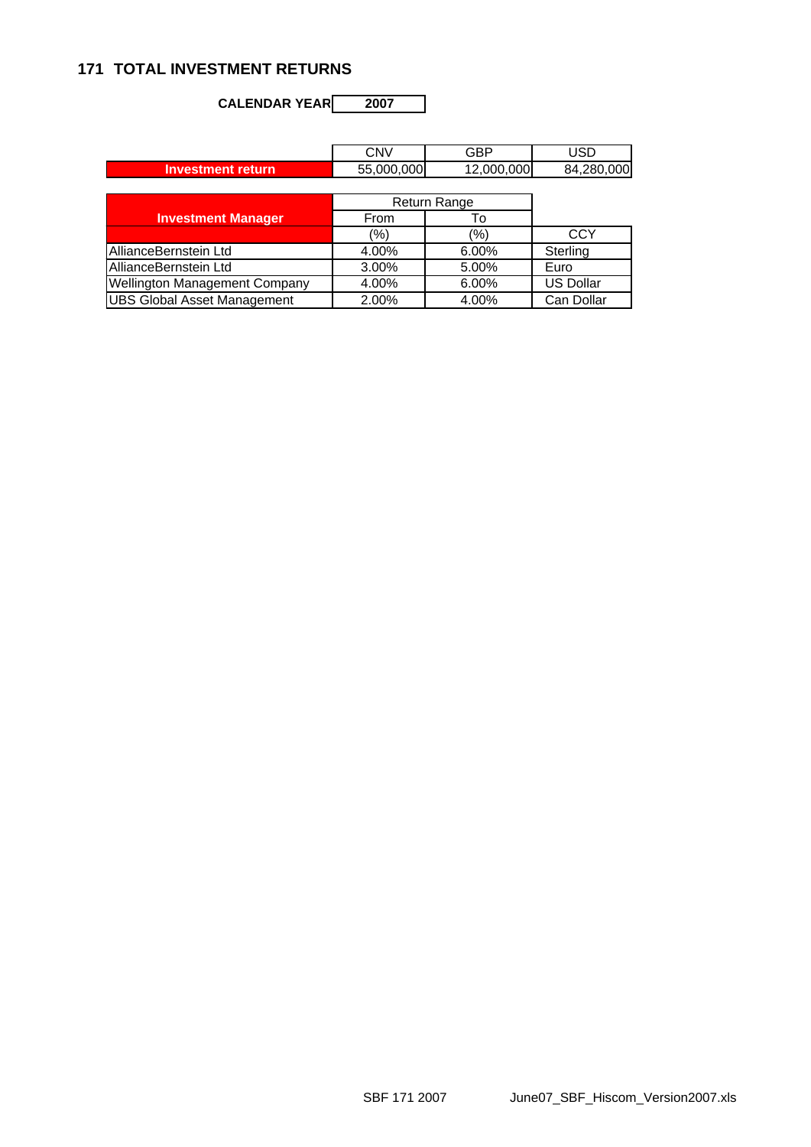## **171 TOTAL INVESTMENT RETURNS**

**CALENDAR YEAR 2007**

|                                      | <b>CNV</b> | <b>GBP</b>   | USD              |
|--------------------------------------|------------|--------------|------------------|
| <b>Investment return</b>             | 55,000,000 | 12,000,000   | 84,280,000       |
|                                      |            |              |                  |
|                                      |            | Return Range |                  |
| <b>Investment Manager</b>            | From       | To           |                  |
|                                      | (%)        | (%)          | <b>CCY</b>       |
| AllianceBernstein Ltd                | 4.00%      | 6.00%        | Sterling         |
| AllianceBernstein Ltd                | 3.00%      | 5.00%        | Euro             |
| <b>Wellington Management Company</b> | 4.00%      | 6.00%        | <b>US Dollar</b> |
| <b>UBS Global Asset Management</b>   | 2.00%      | 4.00%        | Can Dollar       |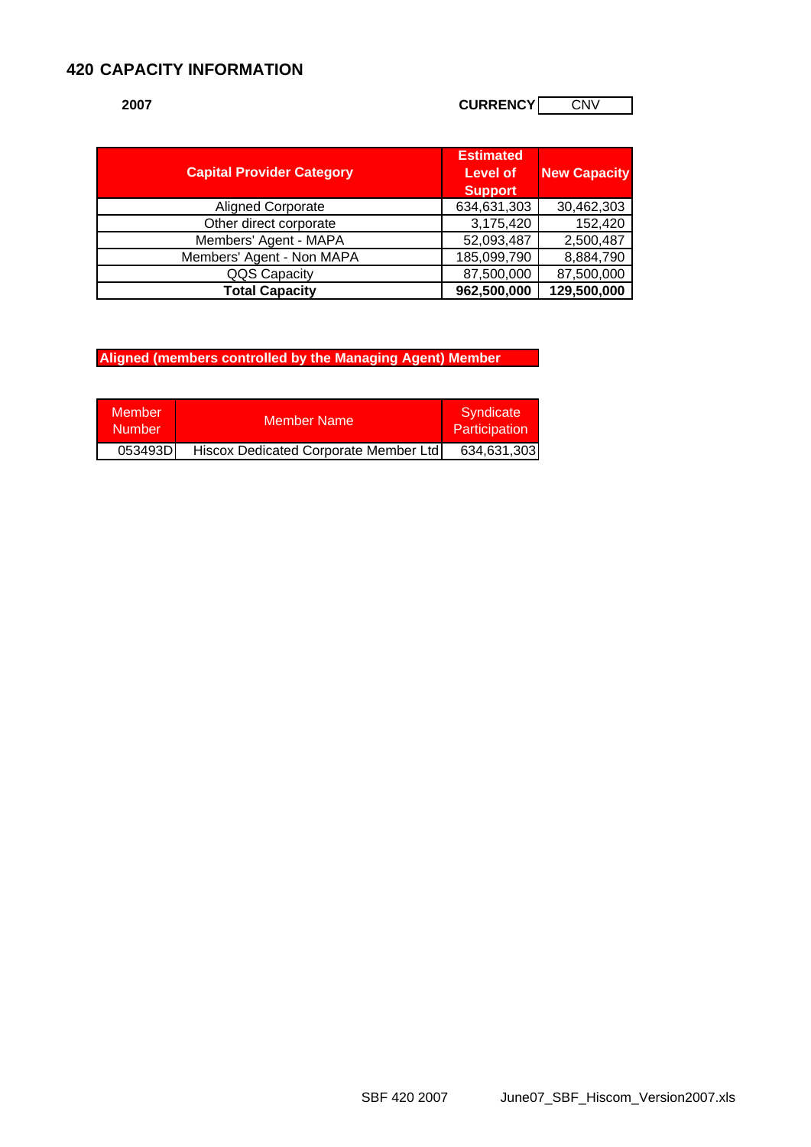## **420 CAPACITY INFORMATION**

## **2007 CURRENCY** CURRENCY CURRENCY

| <b>Capital Provider Category</b> | <b>Estimated</b><br><b>Level of</b><br><b>Support</b> | <b>New Capacity</b> |
|----------------------------------|-------------------------------------------------------|---------------------|
| <b>Aligned Corporate</b>         | 634,631,303                                           | 30,462,303          |
| Other direct corporate           | 3,175,420                                             | 152,420             |
| Members' Agent - MAPA            | 52,093,487                                            | 2,500,487           |
| Members' Agent - Non MAPA        | 185,099,790                                           | 8,884,790           |
| QQS Capacity                     | 87,500,000                                            | 87,500,000          |
| <b>Total Capacity</b>            | 962,500,000                                           | 129,500,000         |

**Aligned (members controlled by the Managing Agent) Member** 

| Member<br>:Number | <b>Member Name</b>                    | Syndicate<br>Participation |  |  |
|-------------------|---------------------------------------|----------------------------|--|--|
| 053493D           | Hiscox Dedicated Corporate Member Ltd | 634,631,303                |  |  |